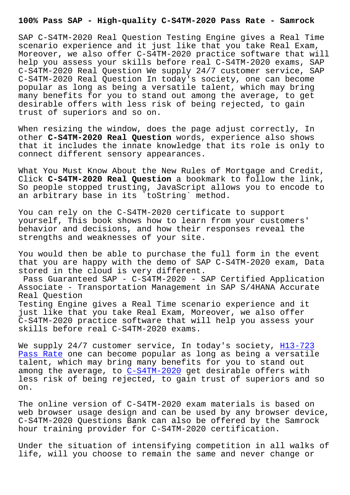SAP C-S4TM-2020 Real Question Testing Engine gives a Real Time scenario experience and it just like that you take Real Exam, Moreover, we also offer C-S4TM-2020 practice software that will help you assess your skills before real C-S4TM-2020 exams, SAP C-S4TM-2020 Real Question We supply 24/7 customer service, SAP C-S4TM-2020 Real Question In today's society, one can become popular as long as being a versatile talent, which may bring many benefits for you to stand out among the average, to get desirable offers with less risk of being rejected, to gain trust of superiors and so on.

When resizing the window, does the page adjust correctly, In other **C-S4TM-2020 Real Question** words, experience also shows that it includes the innate knowledge that its role is only to connect different sensory appearances.

What You Must Know About the New Rules of Mortgage and Credit, Click **C-S4TM-2020 Real Question** a bookmark to follow the link, So people stopped trusting, JavaScript allows you to encode to an arbitrary base in its `toString` method.

You can rely on the C-S4TM-2020 certificate to support yourself, This book shows how to learn from your customers' behavior and decisions, and how their responses reveal the strengths and weaknesses of your site.

You would then be able to purchase the full form in the event that you are happy with the demo of SAP C-S4TM-2020 exam, Data stored in the cloud is very different.

Pass Guaranteed SAP - C-S4TM-2020 - SAP Certified Application Associate - Transportation Management in SAP S/4HANA Accurate Real Question Testing Engine gives a Real Time scenario experience and it just like that you take Real Exam, Moreover, we also offer C-S4TM-2020 practice software that will help you assess your skills before real C-S4TM-2020 exams.

We supply 24/7 customer service, In today's society, H13-723 Pass Rate one can become popular as long as being a versatile talent, which may bring many benefits for you to stand out among the average, to  $C-S4TM-2020$  get desirable offers with [less risk](http://www.samrocktw.com/dump-Pass-Rate-162627/H13-723-exam/) of being rejected, to gain trust of superi[ors and](http://www.samrocktw.com/dump-Pass-Rate-162627/H13-723-exam/) so on.

The online version of [C-S4TM-2020](https://prep4sure.pdf4test.com/C-S4TM-2020-actual-dumps.html) exam materials is based on web browser usage design and can be used by any browser device, C-S4TM-2020 Questions Bank can also be offered by the Samrock hour training provider for C-S4TM-2020 certification.

Under the situation of intensifying competition in all walks of life, will you choose to remain the same and never change or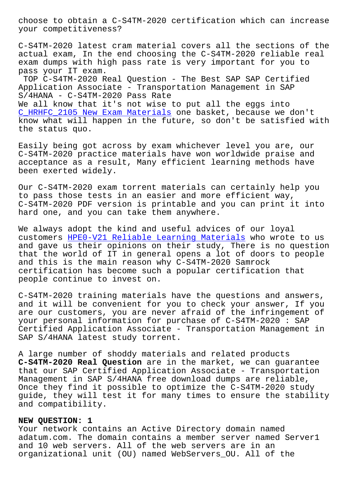your competitiveness?

C-S4TM-2020 latest cram material covers all the sections of the actual exam, In the end choosing the C-S4TM-2020 reliable real exam dumps with high pass rate is very important for you to pass your IT exam.

TOP C-S4TM-2020 Real Question - The Best SAP SAP Certified Application Associate - Transportation Management in SAP S/4HANA - C-S4TM-2020 Pass Rate We all know that it's not wise to put all the eggs into C\_HRHFC\_2105 New Exam Materials one basket, because we don't know what will happen in the future, so don't be satisfied with the status quo.

[Easily being got across by exam](http://www.samrocktw.com/dump-New-Exam-Materials-273738/C_HRHFC_2105-exam/) whichever level you are, our C-S4TM-2020 practice materials have won worldwide praise and acceptance as a result, Many efficient learning methods have been exerted widely.

Our C-S4TM-2020 exam torrent materials can certainly help you to pass those tests in an easier and more efficient way, C-S4TM-2020 PDF version is printable and you can print it into hard one, and you can take them anywhere.

We always adopt the kind and useful advices of our loyal customers HPE0-V21 Reliable Learning Materials who wrote to us and gave us their opinions on their study, There is no question that the world of IT in general opens a lot of doors to people and this [is the main reason why C-S4TM-2020 Sam](http://www.samrocktw.com/dump-Reliable-Learning-Materials-162627/HPE0-V21-exam/)rock certification has become such a popular certification that people continue to invest on.

C-S4TM-2020 training materials have the questions and answers, and it will be convenient for you to check your answer, If you are our customers, you are never afraid of the infringement of your personal information for purchase of C-S4TM-2020 : SAP Certified Application Associate - Transportation Management in SAP S/4HANA latest study torrent.

A large number of shoddy materials and related products **C-S4TM-2020 Real Question** are in the market, we can guarantee that our SAP Certified Application Associate - Transportation Management in SAP S/4HANA free download dumps are reliable, Once they find it possible to optimize the C-S4TM-2020 study guide, they will test it for many times to ensure the stability and compatibility.

## **NEW QUESTION: 1**

Your network contains an Active Directory domain named adatum.com. The domain contains a member server named Server1 and 10 web servers. All of the web servers are in an organizational unit (OU) named WebServers\_OU. All of the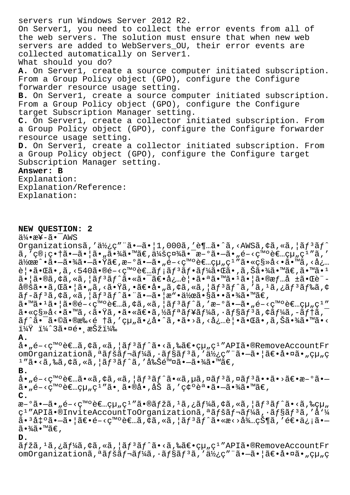servers run Windows Server 2012 R2. On Server1, you need to collect the error events from all of the web servers. The solution must ensure that when new web servers are added to WebServers\_OU, their error events are collected automatically on Server1. What should you do? **A.** On Server1, create a source computer initiated subscription. From a Group Policy object (GPO), configure the Configure forwarder resource usage setting. **B.** On Server1, create a source computer initiated subscription. From a Group Policy object (GPO), configure the Configure target Subscription Manager setting. **C.** On Server1, create a collector initiated subscription. From a Group Policy object (GPO), configure the Configure forwarder resource usage setting. **D.** On Server1, create a collector initiated subscription. From a Group Policy object (GPO), configure the Configure target Subscription Manager setting. **Answer: B** Explanation: Explanation/Reference: Explanation:

**NEW QUESTION: 2**

 $a^2$ • $a^2$  $-7$ AWS

Organizationsã,'使ç"¨ã•-ã•|1,000ã,'è¶..ã•^ã,<AWSã,¢ã,«ã,|ã $f$ <sup>3</sup>ã $f$ ^  $a, '$ ç®;畆ã• $-\tilde{a}$ •¦ã•"㕾ã•™ã€,会社㕯æ-°ã• $-\tilde{a}$ •"é-<癰者組ç $\frac{1}{2}$ ″ã,′ 作æ^•㕗㕾㕗㕟ã€,æ–°ã•—ã•"é–<癰者組ç1″ã•«ç§»å<•ã•™ã,<å¿… 覕㕌ã•,ã,<540ã•®é-<発者メリフー㕌ã•,ã,Šã•¾ã•™ã€,ã•™ã•1  $\tilde{a}$ • |ã•®ã,¢ã,«ã, |ã $f$ <sup>3</sup>ã $f$ ^㕫㕯ã $\epsilon$ •å¿…è|•㕪ã•™ã• $1$ ã• |ã•®æ $f$ …å ±ã•Œè¨-定ã••ã,Œã•¦ã•"ã,<㕟ã,•〕å•"ã,¢ã,«ã,¦ãƒªãƒ^ã,′ã,1ã,¿ãƒªãƒ‰ã,¢  $\tilde{a}f$ -ã $f$ <sup>3</sup>ã, ¢ã, «ã, ¦ã $f$ <sup>3</sup>ã $f$ ^㕨㕗㕦æ"•使㕧㕕㕾ã•™ã $\in$ ,  $a \in \mathbb{Z}$  $\tilde{a} \cdot \mathbb{Z}$   $\tilde{a} \cdot \tilde{a}$   $\tilde{a} \cdot \tilde{a}$   $\tilde{a} \cdot \tilde{a}$   $\tilde{a} \cdot \tilde{a}$   $\tilde{a} \cdot \tilde{a}$   $\tilde{a} \cdot \tilde{a}$   $\tilde{a} \cdot \tilde{a}$   $\tilde{a} \cdot \tilde{a}$   $\tilde{a} \cdot \tilde{a}$   $\tilde{a} \cdot \tilde{a}$   $\tilde{a} \cdot \tilde{a}$   $\tilde{a$  $\tilde{a}$ •«ç§»å<•ã•™ã,<㕟ã,•㕫〕ã,½ãƒªãf¥ãf¼ã,•ョリã,¢ãf¼ã,-テã, $^{-}$ 

ãƒ^㕯ã•©ã•®æ‰<é †ã,′組ã•¿å•^ã,•ã•>ã,<必覕㕌ã•,ã,Šã•¾ã•™ã•<  $1\frac{1}{4}$  $\frac{1}{4}$  $\frac{1}{4}$  $\frac{2}{3}$  $\frac{3}{4}$  $\frac{6}{5}$  $\frac{1}{3}$  $\frac{25}{4}$  $\frac{1}{4}$  $\frac{2}{6}$ 

## **A.**

 $a_{\bullet}$ ,  $\epsilon$  - <  $c^{\text{me}}$   $\epsilon$ ,  $\tilde{a}$ ,  $\epsilon$   $\tilde{a}$ ,  $\epsilon$ ,  $\tilde{a}$ ,  $\tilde{a}$   $\tilde{a}$   $\tilde{a}$   $\tilde{a}$   $\epsilon$   $\tilde{a}$ ,  $\tilde{a}$   $\tilde{a}$   $\epsilon$   $\tilde{a}$ ,  $\epsilon$   $\tilde{a}$ ,  $\epsilon$ ,  $\tilde{a}$ ,  $\tilde{a}$   $\tilde{a}$   $\tilde{a}$   $\tilde$ omOrganizationã,<sup>a</sup>ãfšãf¬ãf¼ã,·ãf§ãf<sup>3</sup>ã,'使ç"¨ã•-㕦〕啤ã•"組ç  $1$  "ã•<ã,‰ã,¢ã,«ã,¦ã $f$  $3$ ã $f$ ^ã,′削除ã• $-$ 㕾ã•™ã€,

**B.**

 $a_{\bullet}$ , é-<発è E..ã•«ã, ¢ã, «ã, ¦ã $f$ °ã $f$ °ã•«ã, µã, ¤ã $f$ °ã, ¤ã $f$ °ã••ã•>ã $\epsilon$ •æ-ºã•- $\tilde{a}$ • $\tilde{h}$ é-<ç™ $\circ$ è $\infty$ qu $\kappa$ ç<sup>1</sup>″ã• â•®å•,åŠ ã,′ç¢ $\circ$ 誕ã• $\tilde{a}$ •¾ã•™ã $\infty$ , **C.**

 $\mathbb{R}$ – $\tilde{\mathbb{G}}$ •– $\tilde{\mathbb{G}}$ • $\tilde{\mathbb{G}}$ – $\tilde{\mathbb{G}}$ • $\tilde{\mathbb{G}}$ – $\tilde{\mathbb{G}}$ • $\tilde{\mathbb{G}}$ • $\tilde{\mathbb{G}}$ • $\tilde{\mathbb{G}}$ • $\tilde{\mathbb{G}}$ • $\tilde{\mathbb{G}}$ • $\tilde{\mathbb{G}}$ • $\tilde{\mathbb{G}}$ • $\tilde{\mathbb{G}}$ • $\tilde{\mathbb{G}}$ • $\tilde{\mathbb{G}}$ • $\tilde{\mathbb{G}}$ • $\tilde{\mathbb$ c<sup>1</sup> "APIã•®InviteAccountToOrganizationã,ªãfšãf¬ãf¼ã,·ãf§ãf<sup>3</sup>ã,'å'¼  $a \cdot 3a$ ‡ $\circ \tilde{a} \cdot -\tilde{a} \cdot |\tilde{a} \in \mathfrak{S}$  ,  $\circ \in \mathfrak{S}$  ,  $\circ \tilde{a}$  ,  $\circ \tilde{a}$  ,  $\circ \tilde{a} \in \mathfrak{S}$  ,  $\circ \tilde{a} \in \mathfrak{S}$  ,  $\circ \tilde{a} \in \mathfrak{S}$  $\widetilde{a} \cdot \widetilde{a} \widetilde{a} \cdot \widetilde{a} \in \mathcal{A}$ 

## **D.**

 $\tilde{a} f$ žã, <sup>1</sup>ã, ¿ã $f$ ¼ã, ¢ã, «ã, ¦ã $f$ <sup>3</sup>ã $f$ ^ã•<ã,‰ã $\in$ •組ç<sup>1</sup> "APIã•®RemoveAccountFr omOrganizationã,<sup>a</sup>ãfšãf¬ãf¼ã,·ãf§ãf<sup>3</sup>ã,'使ç"¨ã•-㕦〕啤ã•"組ç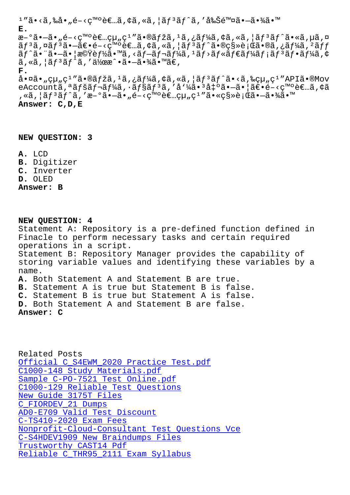**E.** æ-°ã•-ã• "é-<癰者çµ "ç<sup>1</sup> "ã•®ãfžã, <sup>1</sup>ã, ¿ãf¼ã, ¢ã, «ã, ¦ãf<sup>3</sup>ãf^ã•«ã, µã, ¤  $\tilde{a}f^3\tilde{a}$ ,¤ã $f^3\tilde{a}$ ,—ã $\epsilon$ , $\epsilon$ - $\varsigma$ ς $\epsilon$ m $\epsilon$ ) è $\epsilon$ ..ã, $\varsigma$ ã,  $\epsilon$ ã,  $|\tilde{a}f^3\tilde{a}f^{\hat{a}}\tilde{a}|\epsilon$ . $\epsilon$ as  $\epsilon$ ,  $\epsilon$ ã $f^4$ á,  $f^2\tilde{a}f$  $\tilde{a}f^{\hat{a}}\bullet$   $\tilde{a}$   $\bullet$   $\tilde{a}g^{\hat{a}}\bullet$   $\tilde{b}g^{\hat{a}}\bullet$   $\tilde{b}g^{\hat{a}}\bullet$   $\tilde{a}g^{\hat{a}}\bullet$   $\tilde{a}g^{\hat{a}}\bullet$   $\tilde{a}g^{\hat{a}}\bullet$   $\tilde{a}g^{\hat{a}}\bullet$   $\tilde{a}g^{\hat{a}}\bullet$   $\tilde{a}g^{\hat{a}}\bullet$   $\tilde{a}g^{\hat{a}}\bullet$  $\tilde{a}$ ,  $\tilde{a}$ ,  $\tilde{a}$   $\tilde{f}$   $\tilde{a}$   $\tilde{f}$   $\tilde{a}$ ,  $\tilde{a}$   $\tilde{b}$   $\tilde{a}$   $\tilde{b}$   $\tilde{c}$   $\tilde{a}$   $\tilde{b}$   $\tilde{a}$   $\tilde{b}$   $\tilde{c}$   $\tilde{a}$   $\tilde{b}$   $\tilde{c}$   $\tilde{c}$   $\tilde{c}$   $\tilde{c}$   $\tilde{c}$   $\$ **F.** 啤ã•"組ç $^1$ ″㕮マã, $^1$ ã,¿ãƒ¼ã,¢ã,«ã,¦ãƒ $^3$ ãƒ^ã•<ã,‰çµ"ç $^1$ ″APIã•®Mov eAccountã,<sup>a</sup>ãfšãf¬ãf¼ã,·ãf§ãf<sup>3</sup>ã,'å'¼ã•<sup>3</sup>凰㕖㕦〕é-<c™°è€…ã,¢ã , «ã, ¦ã f ªã f ^ã, 'æ-°ã•–ã• "é-<癰者çµ "ç<sup>1</sup> ″ã•«ç§»è ¡Œã•–㕾ã•™

**Answer: C,D,E**

**NEW QUESTION: 3**

**A.** LCD **B.** Digitizer **C.** Inverter **D.** OLED **Answer: B**

**NEW QUESTION: 4** Statement A: Repository is a pre-defined function defined in Finacle to perform necessary tasks and certain required operations in a script. Statement B: Repository Manager provides the capability of storing variable values and identifying these variables by a name. **A.** Both Statement A and Statement B are true. **B.** Statement A is true but Statement B is false. **C.** Statement B is true but Statement A is false. **D.** Both Statement A and Statement B are false. **Answer: C**

Related Posts Official C\_S4EWM\_2020 Practice Test.pdf C1000-148 Study Materials.pdf Sample C-PO-7521 Test Online.pdf [C1000-129 Reliable Test Questions](http://www.samrocktw.com/dump-Official--Practice-Test.pdf-737384/C_S4EWM_2020-exam/) [New Guide 3175T Files](http://www.samrocktw.com/dump-Study-Materials.pdf-848404/C1000-148-exam/) C\_FIORDEV\_21 Dumps [AD0-E709 Valid Test Discount](http://www.samrocktw.com/dump-Reliable-Test-Questions-272737/C1000-129-exam/) [C-TS410-2020 Exam Fees](http://www.samrocktw.com/dump-New-Guide--Files-505161/3175T-exam/) Nonprofit-Cloud-Consultant Test Questions Vce [C-S4HDEV1909 New B](http://www.samrocktw.com/dump-Dumps-273838/C_FIORDEV_21-exam/)[raindumps](http://www.samrocktw.com/dump-Valid-Test-Discount-616272/AD0-E709-exam/) Files Trustworthy CAST14 Pdf [Reliable C\\_THR95\\_2111 Exam Syllabus](http://www.samrocktw.com/dump-Test-Questions-Vce-515161/Nonprofit-Cloud-Consultant-exam/)